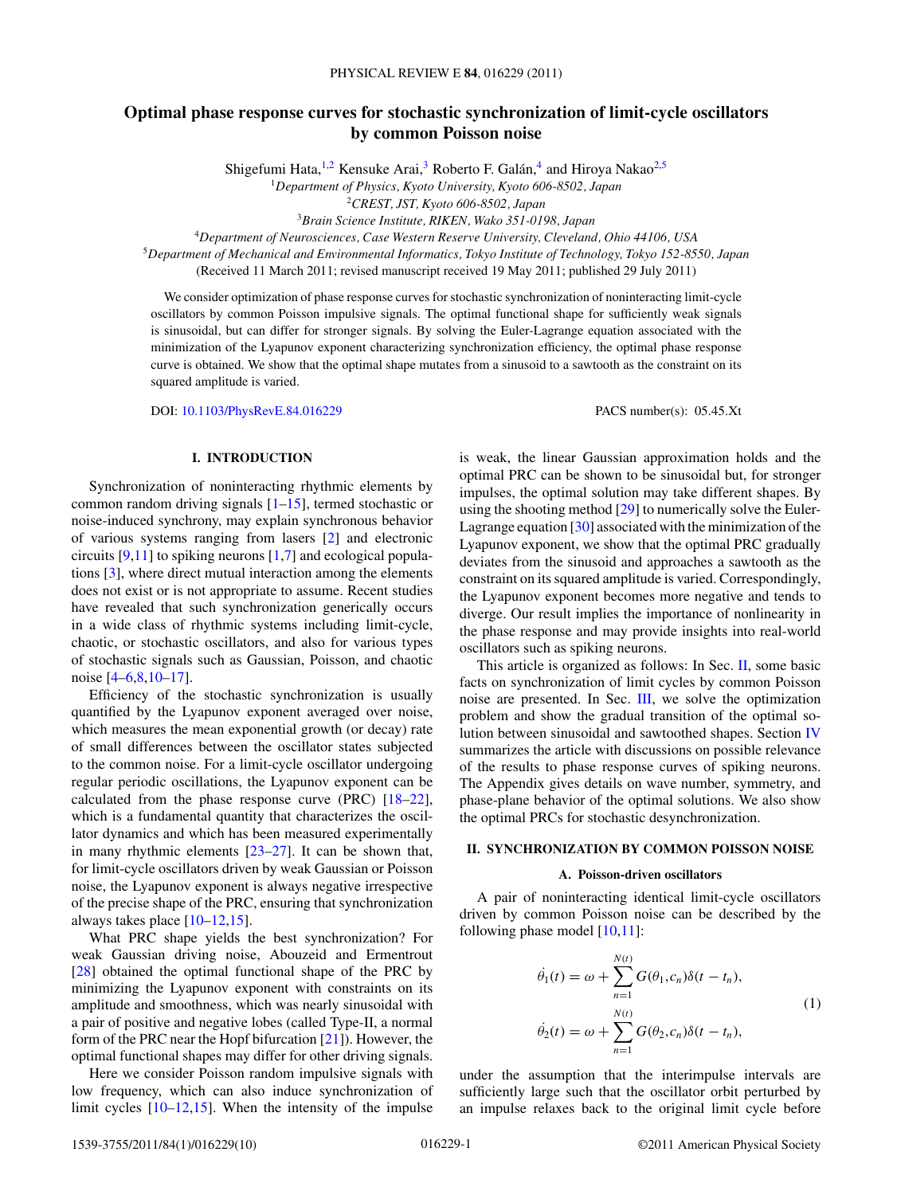# <span id="page-0-0"></span>**Optimal phase response curves for stochastic synchronization of limit-cycle oscillators by common Poisson noise**

Shigefumi Hata,<sup>1,2</sup> Kensuke Arai,<sup>3</sup> Roberto F. Galán,<sup>4</sup> and Hiroya Nakao<sup>2,5</sup>

<sup>1</sup>*Department of Physics, Kyoto University, Kyoto 606-8502, Japan*

<sup>2</sup>*CREST, JST, Kyoto 606-8502, Japan*

<sup>3</sup>*Brain Science Institute, RIKEN, Wako 351-0198, Japan*

<sup>4</sup>*Department of Neurosciences, Case Western Reserve University, Cleveland, Ohio 44106, USA*

<sup>5</sup>*Department of Mechanical and Environmental Informatics, Tokyo Institute of Technology, Tokyo 152-8550, Japan*

(Received 11 March 2011; revised manuscript received 19 May 2011; published 29 July 2011)

We consider optimization of phase response curves for stochastic synchronization of noninteracting limit-cycle oscillators by common Poisson impulsive signals. The optimal functional shape for sufficiently weak signals is sinusoidal, but can differ for stronger signals. By solving the Euler-Lagrange equation associated with the minimization of the Lyapunov exponent characterizing synchronization efficiency, the optimal phase response curve is obtained. We show that the optimal shape mutates from a sinusoid to a sawtooth as the constraint on its squared amplitude is varied.

DOI: [10.1103/PhysRevE.84.016229](http://dx.doi.org/10.1103/PhysRevE.84.016229) PACS number(s): 05*.*45*.*Xt

# **I. INTRODUCTION**

Synchronization of noninteracting rhythmic elements by common random driving signals  $[1-15]$ , termed stochastic or noise-induced synchrony, may explain synchronous behavior of various systems ranging from lasers [\[2\]](#page-8-0) and electronic circuits [\[9,11\]](#page-8-0) to spiking neurons [\[1,7\]](#page-8-0) and ecological populations [\[3\]](#page-8-0), where direct mutual interaction among the elements does not exist or is not appropriate to assume. Recent studies have revealed that such synchronization generically occurs in a wide class of rhythmic systems including limit-cycle, chaotic, or stochastic oscillators, and also for various types of stochastic signals such as Gaussian, Poisson, and chaotic noise [\[4–6,8,10–17\]](#page-8-0).

Efficiency of the stochastic synchronization is usually quantified by the Lyapunov exponent averaged over noise, which measures the mean exponential growth (or decay) rate of small differences between the oscillator states subjected to the common noise. For a limit-cycle oscillator undergoing regular periodic oscillations, the Lyapunov exponent can be calculated from the phase response curve (PRC) [\[18–22\]](#page-9-0), which is a fundamental quantity that characterizes the oscillator dynamics and which has been measured experimentally in many rhythmic elements [\[23–27\]](#page-9-0). It can be shown that, for limit-cycle oscillators driven by weak Gaussian or Poisson noise, the Lyapunov exponent is always negative irrespective of the precise shape of the PRC, ensuring that synchronization always takes place  $[10-12,15]$ .

What PRC shape yields the best synchronization? For weak Gaussian driving noise, Abouzeid and Ermentrout [\[28\]](#page-9-0) obtained the optimal functional shape of the PRC by minimizing the Lyapunov exponent with constraints on its amplitude and smoothness, which was nearly sinusoidal with a pair of positive and negative lobes (called Type-II, a normal form of the PRC near the Hopf bifurcation [\[21\]](#page-9-0)). However, the optimal functional shapes may differ for other driving signals.

Here we consider Poisson random impulsive signals with low frequency, which can also induce synchronization of limit cycles [\[10–12,15\]](#page-8-0). When the intensity of the impulse

is weak, the linear Gaussian approximation holds and the optimal PRC can be shown to be sinusoidal but, for stronger impulses, the optimal solution may take different shapes. By using the shooting method [\[29\]](#page-9-0) to numerically solve the Euler-Lagrange equation [\[30\]](#page-9-0) associated with the minimization of the Lyapunov exponent, we show that the optimal PRC gradually deviates from the sinusoid and approaches a sawtooth as the constraint on its squared amplitude is varied. Correspondingly, the Lyapunov exponent becomes more negative and tends to diverge. Our result implies the importance of nonlinearity in the phase response and may provide insights into real-world oscillators such as spiking neurons.

This article is organized as follows: In Sec. II, some basic facts on synchronization of limit cycles by common Poisson noise are presented. In Sec. [III,](#page-1-0) we solve the optimization problem and show the gradual transition of the optimal solution between sinusoidal and sawtoothed shapes. Section [IV](#page-5-0) summarizes the article with discussions on possible relevance of the results to phase response curves of spiking neurons. The Appendix gives details on wave number, symmetry, and phase-plane behavior of the optimal solutions. We also show the optimal PRCs for stochastic desynchronization.

# **II. SYNCHRONIZATION BY COMMON POISSON NOISE**

### **A. Poisson-driven oscillators**

A pair of noninteracting identical limit-cycle oscillators driven by common Poisson noise can be described by the following phase model  $[10,11]$ :

$$
\dot{\theta}_1(t) = \omega + \sum_{n=1}^{N(t)} G(\theta_1, c_n) \delta(t - t_n),
$$
  
\n
$$
\dot{\theta}_2(t) = \omega + \sum_{n=1}^{N(t)} G(\theta_2, c_n) \delta(t - t_n),
$$
\n(1)

under the assumption that the interimpulse intervals are sufficiently large such that the oscillator orbit perturbed by an impulse relaxes back to the original limit cycle before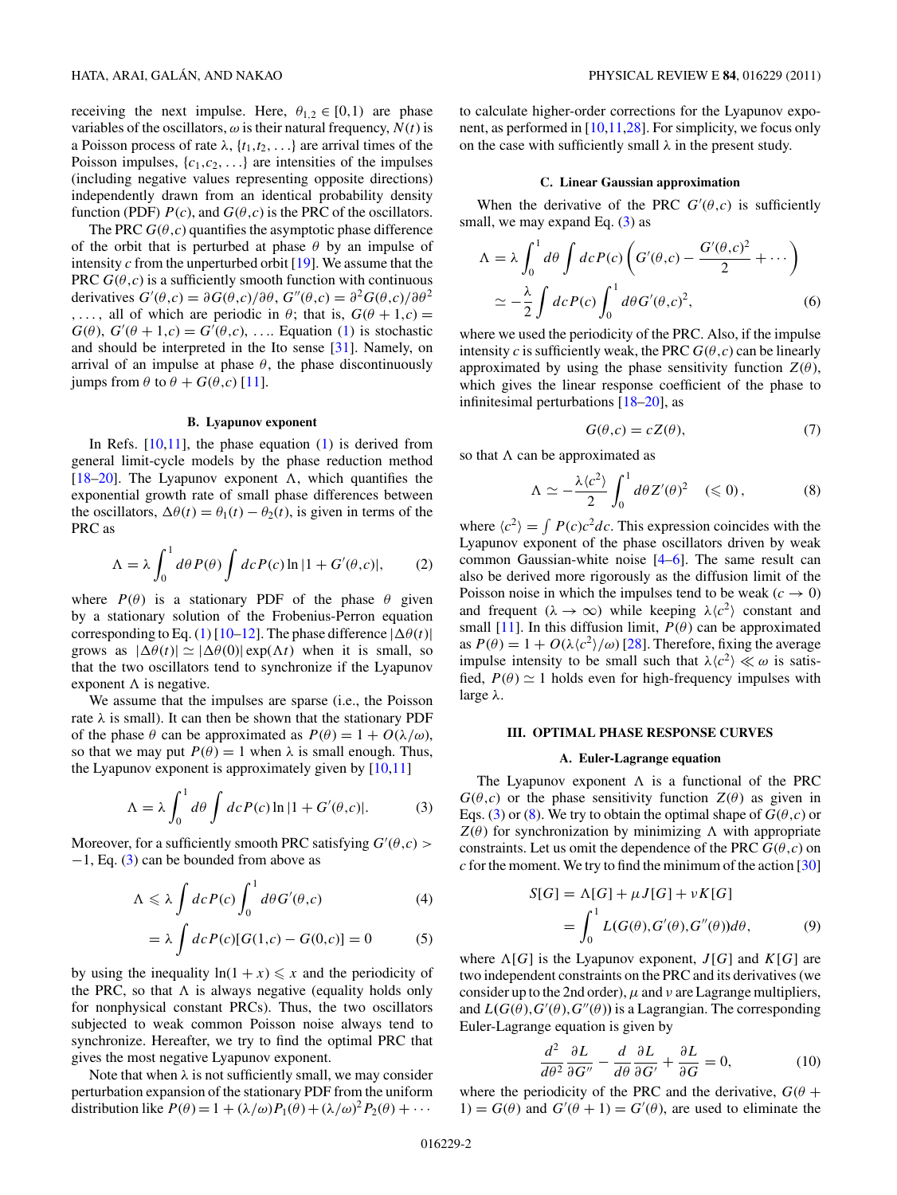<span id="page-1-0"></span>receiving the next impulse. Here,  $\theta_{1,2} \in [0,1)$  are phase variables of the oscillators,  $\omega$  is their natural frequency,  $N(t)$  is a Poisson process of rate  $\lambda$ ,  $\{t_1, t_2, \ldots\}$  are arrival times of the Poisson impulses,  $\{c_1, c_2, \ldots\}$  are intensities of the impulses (including negative values representing opposite directions) independently drawn from an identical probability density function (PDF)  $P(c)$ , and  $G(\theta, c)$  is the PRC of the oscillators.

The PRC  $G(\theta, c)$  quantifies the asymptotic phase difference of the orbit that is perturbed at phase *θ* by an impulse of intensity *c* from the unperturbed orbit [\[19\]](#page-9-0). We assume that the PRC  $G(\theta, c)$  is a sufficiently smooth function with continuous derivatives  $G'(\theta, c) = \partial G(\theta, c)/\partial \theta$ ,  $G''(\theta, c) = \partial^2 G(\theta, c)/\partial \theta^2$ *,...,* all of which are periodic in  $\theta$ ; that is,  $G(\theta + 1, c) =$  $G(\theta)$ ,  $G'(\theta + 1,c) = G'(\theta, c)$ , .... Equation [\(1\)](#page-0-0) is stochastic and should be interpreted in the Ito sense [\[31\]](#page-9-0). Namely, on arrival of an impulse at phase  $\theta$ , the phase discontinuously jumps from *θ* to *θ* + *G*(*θ,c*) [\[11\]](#page-8-0).

### **B. Lyapunov exponent**

In Refs.  $[10,11]$ , the phase equation  $(1)$  is derived from general limit-cycle models by the phase reduction method [\[18–20\]](#page-9-0). The Lyapunov exponent  $\Lambda$ , which quantifies the exponential growth rate of small phase differences between the oscillators,  $\Delta \theta(t) = \theta_1(t) - \theta_2(t)$ , is given in terms of the PRC as

$$
\Lambda = \lambda \int_0^1 d\theta P(\theta) \int dc P(c) \ln|1 + G'(\theta, c)|, \qquad (2)
$$

where  $P(\theta)$  is a stationary PDF of the phase  $\theta$  given by a stationary solution of the Frobenius-Perron equation corresponding to Eq. [\(1\)](#page-0-0) [\[10–12\]](#page-8-0). The phase difference  $|\Delta\theta(t)|$ grows as  $|\Delta \theta(t)| \simeq |\Delta \theta(0)| \exp(\Lambda t)$  when it is small, so that the two oscillators tend to synchronize if the Lyapunov exponent  $\Lambda$  is negative.

We assume that the impulses are sparse (i.e., the Poisson rate  $\lambda$  is small). It can then be shown that the stationary PDF of the phase  $\theta$  can be approximated as  $P(\theta) = 1 + O(\lambda/\omega)$ , so that we may put  $P(\theta) = 1$  when  $\lambda$  is small enough. Thus, the Lyapunov exponent is approximately given by  $[10,11]$ 

$$
\Lambda = \lambda \int_0^1 d\theta \int dc P(c) \ln|1 + G'(\theta, c)|. \tag{3}
$$

Moreover, for a sufficiently smooth PRC satisfying  $G'(\theta, c)$  > −1, Eq. (3) can be bounded from above as

$$
\Lambda \leqslant \lambda \int dc P(c) \int_0^1 d\theta G'(\theta, c) \tag{4}
$$

$$
= \lambda \int dc P(c)[G(1,c) - G(0,c)] = 0
$$
 (5)

by using the inequality  $ln(1 + x) \leq x$  and the periodicity of the PRC, so that  $\Lambda$  is always negative (equality holds only for nonphysical constant PRCs). Thus, the two oscillators subjected to weak common Poisson noise always tend to synchronize. Hereafter, we try to find the optimal PRC that gives the most negative Lyapunov exponent.

Note that when  $\lambda$  is not sufficiently small, we may consider perturbation expansion of the stationary PDF from the uniform distribution like  $P(\theta) = 1 + (\lambda/\omega)P_1(\theta) + (\lambda/\omega)^2 P_2(\theta) + \cdots$ 

to calculate higher-order corrections for the Lyapunov exponent, as performed in [\[10,11,](#page-8-0)[28\]](#page-9-0). For simplicity, we focus only on the case with sufficiently small *λ* in the present study.

### **C. Linear Gaussian approximation**

When the derivative of the PRC  $G'(\theta, c)$  is sufficiently small, we may expand Eq.  $(3)$  as

$$
\Lambda = \lambda \int_0^1 d\theta \int dc P(c) \left( G'(\theta, c) - \frac{G'(\theta, c)^2}{2} + \cdots \right)
$$
  
 
$$
\approx -\frac{\lambda}{2} \int dc P(c) \int_0^1 d\theta G'(\theta, c)^2,
$$
 (6)

where we used the periodicity of the PRC. Also, if the impulse intensity *c* is sufficiently weak, the PRC  $G(\theta, c)$  can be linearly approximated by using the phase sensitivity function  $Z(\theta)$ , which gives the linear response coefficient of the phase to infinitesimal perturbations [\[18–20\]](#page-9-0), as

$$
G(\theta, c) = cZ(\theta),\tag{7}
$$

so that  $\Lambda$  can be approximated as

$$
\Lambda \simeq -\frac{\lambda \langle c^2 \rangle}{2} \int_0^1 d\theta Z'(\theta)^2 \quad (\leq 0), \tag{8}
$$

where  $\langle c^2 \rangle = \int P(c)c^2dc$ . This expression coincides with the Lyapunov exponent of the phase oscillators driven by weak common Gaussian-white noise [\[4–6\]](#page-8-0). The same result can also be derived more rigorously as the diffusion limit of the Poisson noise in which the impulses tend to be weak  $(c \to 0)$ and frequent ( $\lambda \rightarrow \infty$ ) while keeping  $\lambda \langle c^2 \rangle$  constant and small [\[11\]](#page-8-0). In this diffusion limit,  $P(\theta)$  can be approximated as  $P(\theta) = 1 + O(\lambda \langle c^2 \rangle / \omega)$  [\[28\]](#page-9-0). Therefore, fixing the average impulse intensity to be small such that  $\lambda \langle c^2 \rangle \ll \omega$  is satisfied,  $P(\theta) \simeq 1$  holds even for high-frequency impulses with large *λ*.

### **III. OPTIMAL PHASE RESPONSE CURVES**

### **A. Euler-Lagrange equation**

The Lyapunov exponent  $\Lambda$  is a functional of the PRC  $G(\theta, c)$  or the phase sensitivity function  $Z(\theta)$  as given in Eqs. (3) or (8). We try to obtain the optimal shape of  $G(\theta, c)$  or  $Z(\theta)$  for synchronization by minimizing  $\Lambda$  with appropriate constraints. Let us omit the dependence of the PRC  $G(\theta, c)$  on  $c$  for the moment. We try to find the minimum of the action  $[30]$ 

$$
S[G] = \Lambda[G] + \mu J[G] + \nu K[G]
$$
  
= 
$$
\int_0^1 L(G(\theta), G'(\theta), G''(\theta))d\theta,
$$
 (9)

where  $\Lambda[G]$  is the Lyapunov exponent,  $J[G]$  and  $K[G]$  are two independent constraints on the PRC and its derivatives (we consider up to the 2nd order),  $\mu$  and  $\nu$  are Lagrange multipliers, and  $L(G(\theta), G'(\theta), G''(\theta))$  is a Lagrangian. The corresponding Euler-Lagrange equation is given by

$$
\frac{d^2}{d\theta^2} \frac{\partial L}{\partial G''} - \frac{d}{d\theta} \frac{\partial L}{\partial G'} + \frac{\partial L}{\partial G} = 0, \tag{10}
$$

where the periodicity of the PRC and the derivative,  $G(\theta + )$ 1) =  $G(\theta)$  and  $G'(\theta + 1) = G'(\theta)$ , are used to eliminate the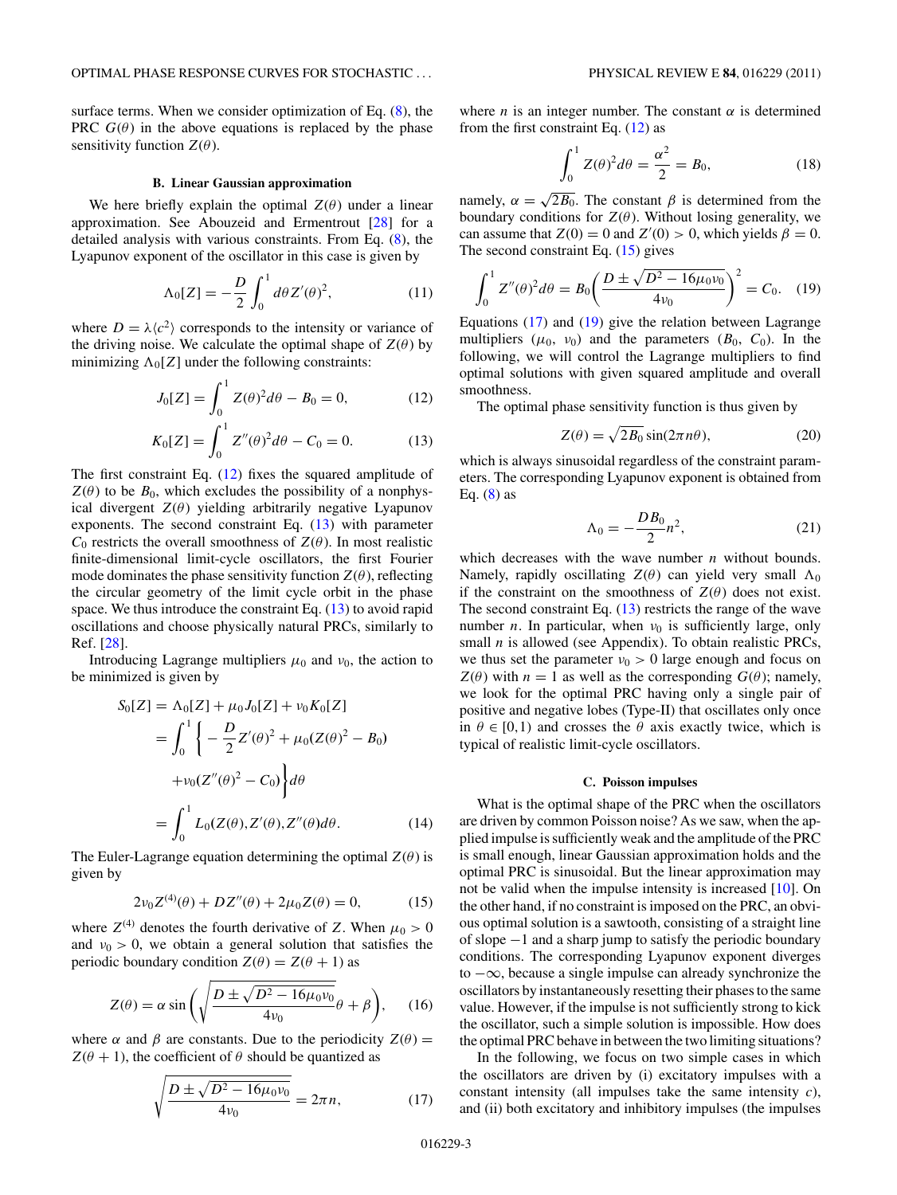<span id="page-2-0"></span>surface terms. When we consider optimization of Eq. [\(8\)](#page-1-0), the PRC  $G(\theta)$  in the above equations is replaced by the phase sensitivity function  $Z(\theta)$ .

### **B. Linear Gaussian approximation**

We here briefly explain the optimal  $Z(\theta)$  under a linear approximation. See Abouzeid and Ermentrout [\[28\]](#page-9-0) for a detailed analysis with various constraints. From Eq. [\(8\)](#page-1-0), the Lyapunov exponent of the oscillator in this case is given by

$$
\Lambda_0[Z] = -\frac{D}{2} \int_0^1 d\theta Z'(\theta)^2,\tag{11}
$$

where  $D = \lambda \langle c^2 \rangle$  corresponds to the intensity or variance of the driving noise. We calculate the optimal shape of  $Z(\theta)$  by minimizing  $\Lambda_0[Z]$  under the following constraints:

$$
J_0[Z] = \int_0^1 Z(\theta)^2 d\theta - B_0 = 0,
$$
 (12)

$$
K_0[Z] = \int_0^1 Z''(\theta)^2 d\theta - C_0 = 0.
$$
 (13)

The first constraint Eq. (12) fixes the squared amplitude of  $Z(\theta)$  to be  $B_0$ , which excludes the possibility of a nonphysical divergent  $Z(\theta)$  yielding arbitrarily negative Lyapunov exponents. The second constraint Eq. (13) with parameter  $C_0$  restricts the overall smoothness of  $Z(\theta)$ . In most realistic finite-dimensional limit-cycle oscillators, the first Fourier mode dominates the phase sensitivity function  $Z(\theta)$ , reflecting the circular geometry of the limit cycle orbit in the phase space. We thus introduce the constraint Eq.  $(13)$  to avoid rapid oscillations and choose physically natural PRCs, similarly to Ref. [\[28\]](#page-9-0).

Introducing Lagrange multipliers  $\mu_0$  and  $\nu_0$ , the action to be minimized is given by

$$
S_0[Z] = \Lambda_0[Z] + \mu_0 J_0[Z] + \nu_0 K_0[Z]
$$
  
= 
$$
\int_0^1 \left\{ -\frac{D}{2} Z'(\theta)^2 + \mu_0 (Z(\theta)^2 - B_0) \right\}
$$
  
+ 
$$
\nu_0 (Z''(\theta)^2 - C_0) \Big\} d\theta
$$
  
= 
$$
\int_0^1 L_0(Z(\theta), Z'(\theta), Z''(\theta) d\theta).
$$
 (14)

The Euler-Lagrange equation determining the optimal  $Z(\theta)$  is given by

$$
2\nu_0 Z^{(4)}(\theta) + DZ''(\theta) + 2\mu_0 Z(\theta) = 0, \tag{15}
$$

where  $Z^{(4)}$  denotes the fourth derivative of Z. When  $\mu_0 > 0$ and  $v_0 > 0$ , we obtain a general solution that satisfies the periodic boundary condition  $Z(\theta) = Z(\theta + 1)$  as

$$
Z(\theta) = \alpha \sin\left(\sqrt{\frac{D \pm \sqrt{D^2 - 16\mu_0 v_0}}{4\nu_0}}\theta + \beta\right), \quad (16)
$$

where  $\alpha$  and  $\beta$  are constants. Due to the periodicity  $Z(\theta)$  =  $Z(\theta + 1)$ , the coefficient of  $\theta$  should be quantized as

$$
\sqrt{\frac{D \pm \sqrt{D^2 - 16\mu_0 v_0}}{4v_0}} = 2\pi n, \tag{17}
$$

where *n* is an integer number. The constant  $\alpha$  is determined from the first constraint Eq.  $(12)$  as

$$
\int_0^1 Z(\theta)^2 d\theta = \frac{\alpha^2}{2} = B_0,\tag{18}
$$

namely,  $\alpha = \sqrt{2B_0}$ . The constant  $\beta$  is determined from the boundary conditions for  $Z(\theta)$ . Without losing generality, we can assume that  $Z(0) = 0$  and  $Z'(0) > 0$ , which yields  $\beta = 0$ . The second constraint Eq.  $(15)$  gives

$$
\int_0^1 Z''(\theta)^2 d\theta = B_0 \left( \frac{D \pm \sqrt{D^2 - 16\mu_0 \nu_0}}{4\nu_0} \right)^2 = C_0. \quad (19)
$$

Equations (17) and (19) give the relation between Lagrange multipliers  $(\mu_0, \nu_0)$  and the parameters  $(B_0, C_0)$ . In the following, we will control the Lagrange multipliers to find optimal solutions with given squared amplitude and overall smoothness.

The optimal phase sensitivity function is thus given by

$$
Z(\theta) = \sqrt{2B_0} \sin(2\pi n\theta),\tag{20}
$$

which is always sinusoidal regardless of the constraint parameters. The corresponding Lyapunov exponent is obtained from Eq.  $(8)$  as

$$
\Lambda_0 = -\frac{DB_0}{2}n^2,\tag{21}
$$

which decreases with the wave number *n* without bounds. Namely, rapidly oscillating  $Z(\theta)$  can yield very small  $\Lambda_0$ if the constraint on the smoothness of  $Z(\theta)$  does not exist. The second constraint Eq.  $(13)$  restricts the range of the wave number *n*. In particular, when  $v_0$  is sufficiently large, only small *n* is allowed (see Appendix). To obtain realistic PRCs, we thus set the parameter  $v_0 > 0$  large enough and focus on  $Z(\theta)$  with  $n = 1$  as well as the corresponding  $G(\theta)$ ; namely, we look for the optimal PRC having only a single pair of positive and negative lobes (Type-II) that oscillates only once in  $\theta \in [0,1)$  and crosses the  $\theta$  axis exactly twice, which is typical of realistic limit-cycle oscillators.

### **C. Poisson impulses**

What is the optimal shape of the PRC when the oscillators are driven by common Poisson noise? As we saw, when the applied impulse is sufficiently weak and the amplitude of the PRC is small enough, linear Gaussian approximation holds and the optimal PRC is sinusoidal. But the linear approximation may not be valid when the impulse intensity is increased [\[10\]](#page-8-0). On the other hand, if no constraint is imposed on the PRC, an obvious optimal solution is a sawtooth, consisting of a straight line of slope −1 and a sharp jump to satisfy the periodic boundary conditions. The corresponding Lyapunov exponent diverges to −∞, because a single impulse can already synchronize the oscillators by instantaneously resetting their phases to the same value. However, if the impulse is not sufficiently strong to kick the oscillator, such a simple solution is impossible. How does the optimal PRC behave in between the two limiting situations?

In the following, we focus on two simple cases in which the oscillators are driven by (i) excitatory impulses with a constant intensity (all impulses take the same intensity *c*), and (ii) both excitatory and inhibitory impulses (the impulses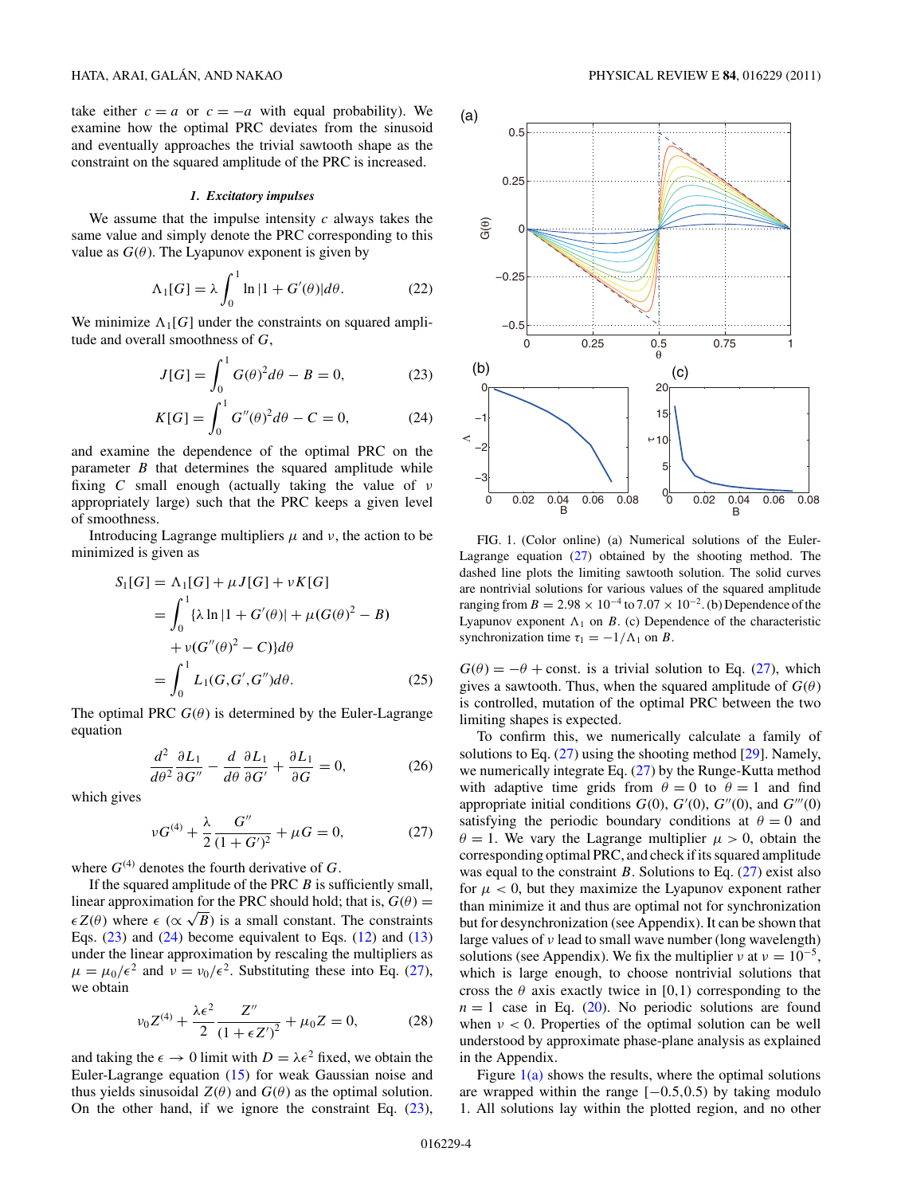<span id="page-3-0"></span>take either  $c = a$  or  $c = -a$  with equal probability). We examine how the optimal PRC deviates from the sinusoid and eventually approaches the trivial sawtooth shape as the constraint on the squared amplitude of the PRC is increased.

# *1. Excitatory impulses*

We assume that the impulse intensity *c* always takes the same value and simply denote the PRC corresponding to this value as  $G(\theta)$ . The Lyapunov exponent is given by

$$
\Lambda_1[G] = \lambda \int_0^1 \ln|1 + G'(\theta)| d\theta. \tag{22}
$$

We minimize  $\Lambda_1[G]$  under the constraints on squared amplitude and overall smoothness of *G*,

$$
J[G] = \int_0^1 G(\theta)^2 d\theta - B = 0,
$$
 (23)

$$
K[G] = \int_0^1 G''(\theta)^2 d\theta - C = 0,
$$
 (24)

and examine the dependence of the optimal PRC on the parameter *B* that determines the squared amplitude while fixing *C* small enough (actually taking the value of *ν* appropriately large) such that the PRC keeps a given level of smoothness.

Introducing Lagrange multipliers  $\mu$  and  $\nu$ , the action to be minimized is given as

$$
S_1[G] = \Lambda_1[G] + \mu J[G] + \nu K[G]
$$
  
=  $\int_0^1 {\lambda \ln |1 + G'(\theta)| + \mu (G(\theta)^2 - B)} + \nu (G''(\theta)^2 - C) d\theta$   
=  $\int_0^1 L_1(G, G', G'') d\theta$ . (25)

The optimal PRC  $G(\theta)$  is determined by the Euler-Lagrange equation

$$
\frac{d^2}{d\theta^2} \frac{\partial L_1}{\partial G''} - \frac{d}{d\theta} \frac{\partial L_1}{\partial G'} + \frac{\partial L_1}{\partial G} = 0, \tag{26}
$$

which gives

$$
\nu G^{(4)} + \frac{\lambda}{2} \frac{G''}{(1 + G')^2} + \mu G = 0, \qquad (27)
$$

where  $G^{(4)}$  denotes the fourth derivative of  $G$ .

If the squared amplitude of the PRC *B* is sufficiently small, linear approximation for the PRC should hold; that is,  $G(\theta)$  =  $\epsilon Z(\theta)$  where  $\epsilon (\propto \sqrt{B})$  is a small constant. The constraints Eqs.  $(23)$  and  $(24)$  become equivalent to Eqs.  $(12)$  and  $(13)$ under the linear approximation by rescaling the multipliers as  $\mu = \mu_0 / \epsilon^2$  and  $\nu = \nu_0 / \epsilon^2$ . Substituting these into Eq. (27), we obtain

$$
\nu_0 Z^{(4)} + \frac{\lambda \epsilon^2}{2} \frac{Z''}{\left(1 + \epsilon Z'\right)^2} + \mu_0 Z = 0,\tag{28}
$$

and taking the  $\epsilon \to 0$  limit with  $D = \lambda \epsilon^2$  fixed, we obtain the Euler-Lagrange equation [\(15\)](#page-2-0) for weak Gaussian noise and thus yields sinusoidal  $Z(\theta)$  and  $G(\theta)$  as the optimal solution. On the other hand, if we ignore the constraint Eq.  $(23)$ ,



FIG. 1. (Color online) (a) Numerical solutions of the Euler-Lagrange equation (27) obtained by the shooting method. The dashed line plots the limiting sawtooth solution. The solid curves are nontrivial solutions for various values of the squared amplitude ranging from  $B = 2.98 \times 10^{-4}$  to  $7.07 \times 10^{-2}$ . (b) Dependence of the Lyapunov exponent  $\Lambda_1$  on *B*. (c) Dependence of the characteristic synchronization time  $\tau_1 = -1/\Lambda_1$  on *B*.

 $G(\theta) = -\theta$  + const. is a trivial solution to Eq. (27), which gives a sawtooth. Thus, when the squared amplitude of  $G(\theta)$ is controlled, mutation of the optimal PRC between the two limiting shapes is expected.

To confirm this, we numerically calculate a family of solutions to Eq. (27) using the shooting method [\[29\]](#page-9-0). Namely, we numerically integrate Eq. (27) by the Runge-Kutta method with adaptive time grids from  $\theta = 0$  to  $\theta = 1$  and find appropriate initial conditions  $G(0)$ ,  $G'(0)$ ,  $G''(0)$ , and  $G'''(0)$ satisfying the periodic boundary conditions at  $\theta = 0$  and  $\theta = 1$ . We vary the Lagrange multiplier  $\mu > 0$ , obtain the corresponding optimal PRC, and check if its squared amplitude was equal to the constraint *B*. Solutions to Eq.  $(27)$  exist also for  $\mu < 0$ , but they maximize the Lyapunov exponent rather than minimize it and thus are optimal not for synchronization but for desynchronization (see Appendix). It can be shown that large values of *ν* lead to small wave number (long wavelength) solutions (see Appendix). We fix the multiplier *ν* at  $v = 10^{-5}$ , which is large enough, to choose nontrivial solutions that cross the  $\theta$  axis exactly twice in [0,1) corresponding to the  $n = 1$  case in Eq. [\(20\)](#page-2-0). No periodic solutions are found when  $\nu < 0$ . Properties of the optimal solution can be well understood by approximate phase-plane analysis as explained in the Appendix.

Figure  $1(a)$  shows the results, where the optimal solutions are wrapped within the range [−0*.*5*,*0*.*5) by taking modulo 1. All solutions lay within the plotted region, and no other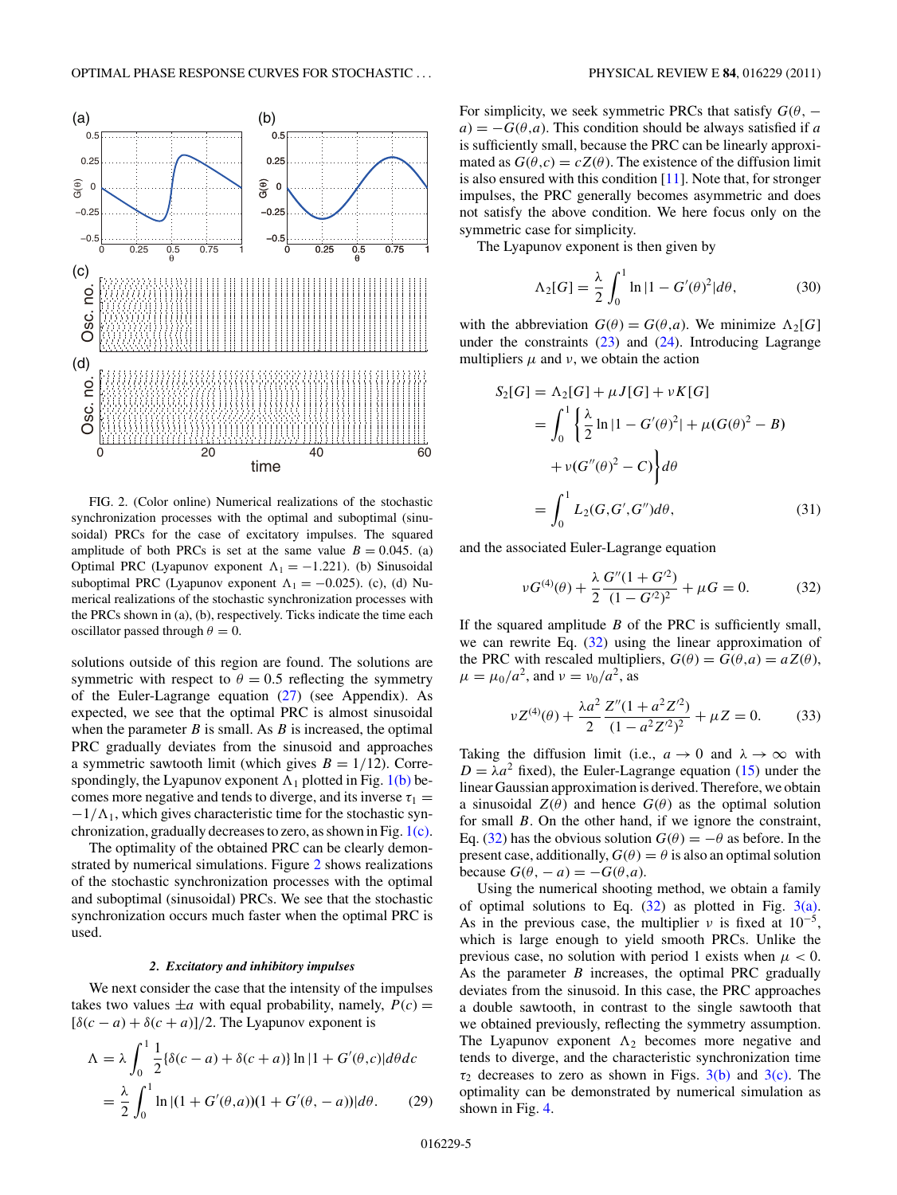<span id="page-4-0"></span>

FIG. 2. (Color online) Numerical realizations of the stochastic synchronization processes with the optimal and suboptimal (sinusoidal) PRCs for the case of excitatory impulses. The squared amplitude of both PRCs is set at the same value  $B = 0.045$ . (a) Optimal PRC (Lyapunov exponent  $\Lambda_1 = -1.221$ ). (b) Sinusoidal suboptimal PRC (Lyapunov exponent  $\Lambda_1 = -0.025$ ). (c), (d) Numerical realizations of the stochastic synchronization processes with the PRCs shown in (a), (b), respectively. Ticks indicate the time each oscillator passed through  $\theta = 0$ .

solutions outside of this region are found. The solutions are symmetric with respect to  $\theta = 0.5$  reflecting the symmetry of the Euler-Lagrange equation  $(27)$  (see Appendix). As expected, we see that the optimal PRC is almost sinusoidal when the parameter  $B$  is small. As  $B$  is increased, the optimal PRC gradually deviates from the sinusoid and approaches a symmetric sawtooth limit (which gives  $B = 1/12$ ). Correspondingly, the Lyapunov exponent  $\Lambda_1$  plotted in Fig. [1\(b\)](#page-3-0) becomes more negative and tends to diverge, and its inverse  $\tau_1$  =  $-1/\Lambda_1$ , which gives characteristic time for the stochastic synchronization, gradually decreases to zero, as shown in Fig. [1\(c\).](#page-3-0)

The optimality of the obtained PRC can be clearly demonstrated by numerical simulations. Figure 2 shows realizations of the stochastic synchronization processes with the optimal and suboptimal (sinusoidal) PRCs. We see that the stochastic synchronization occurs much faster when the optimal PRC is used.

### *2. Excitatory and inhibitory impulses*

We next consider the case that the intensity of the impulses takes two values  $\pm a$  with equal probability, namely,  $P(c)$  =  $[\delta(c-a) + \delta(c+a)]/2$ . The Lyapunov exponent is

$$
\Lambda = \lambda \int_0^1 \frac{1}{2} {\{\delta(c - a) + \delta(c + a)\} \ln|1 + G'(\theta, c)| d\theta dc}
$$
  
= 
$$
\frac{\lambda}{2} \int_0^1 \ln|(1 + G'(\theta, a))(1 + G'(\theta, -a))| d\theta.
$$
 (29)

For simplicity, we seek symmetric PRCs that satisfy  $G(\theta,$  $a$ ) =  $-G(\theta, a)$ . This condition should be always satisfied if *a* is sufficiently small, because the PRC can be linearly approximated as  $G(\theta, c) = cZ(\theta)$ . The existence of the diffusion limit is also ensured with this condition  $[11]$ . Note that, for stronger impulses, the PRC generally becomes asymmetric and does not satisfy the above condition. We here focus only on the symmetric case for simplicity.

The Lyapunov exponent is then given by

$$
\Lambda_2[G] = \frac{\lambda}{2} \int_0^1 \ln|1 - G'(\theta)^2| d\theta, \tag{30}
$$

with the abbreviation  $G(\theta) = G(\theta, a)$ . We minimize  $\Lambda_2[G]$ under the constraints  $(23)$  and  $(24)$ . Introducing Lagrange multipliers  $\mu$  and  $\nu$ , we obtain the action

$$
S_2[G] = \Lambda_2[G] + \mu J[G] + \nu K[G]
$$
  
=  $\int_0^1 \left\{ \frac{\lambda}{2} \ln |1 - G'(\theta)^2| + \mu (G(\theta)^2 - B) \right\}$   
+  $\nu (G''(\theta)^2 - C) \right\} d\theta$   
=  $\int_0^1 L_2(G, G', G'') d\theta,$  (31)

and the associated Euler-Lagrange equation

$$
\nu G^{(4)}(\theta) + \frac{\lambda}{2} \frac{G''(1 + G'^2)}{(1 - G'^2)^2} + \mu G = 0.
$$
 (32)

If the squared amplitude *B* of the PRC is sufficiently small, we can rewrite Eq. (32) using the linear approximation of the PRC with rescaled multipliers,  $G(\theta) = G(\theta, a) = aZ(\theta)$ ,  $\mu = \mu_0/a^2$ , and  $\nu = \nu_0/a^2$ , as

$$
\nu Z^{(4)}(\theta) + \frac{\lambda a^2}{2} \frac{Z''(1 + a^2 Z'^2)}{(1 - a^2 Z'^2)^2} + \mu Z = 0.
$$
 (33)

Taking the diffusion limit (i.e.,  $a \rightarrow 0$  and  $\lambda \rightarrow \infty$  with  $D = \lambda a^2$  fixed), the Euler-Lagrange equation [\(15\)](#page-2-0) under the linear Gaussian approximation is derived. Therefore, we obtain a sinusoidal  $Z(\theta)$  and hence  $G(\theta)$  as the optimal solution for small *B*. On the other hand, if we ignore the constraint, Eq. (32) has the obvious solution  $G(\theta) = -\theta$  as before. In the present case, additionally,  $G(\theta) = \theta$  is also an optimal solution  $bccause G(\theta, -a) = -G(\theta, a).$ 

Using the numerical shooting method, we obtain a family of optimal solutions to Eq.  $(32)$  as plotted in Fig.  $3(a)$ . As in the previous case, the multiplier  $\nu$  is fixed at 10<sup>-5</sup>, which is large enough to yield smooth PRCs. Unlike the previous case, no solution with period 1 exists when  $\mu < 0$ . As the parameter *B* increases, the optimal PRC gradually deviates from the sinusoid. In this case, the PRC approaches a double sawtooth, in contrast to the single sawtooth that we obtained previously, reflecting the symmetry assumption. The Lyapunov exponent  $\Lambda_2$  becomes more negative and tends to diverge, and the characteristic synchronization time  $\tau_2$  decreases to zero as shown in Figs.  $3(b)$  and  $3(c)$ . The optimality can be demonstrated by numerical simulation as shown in Fig. [4.](#page-5-0)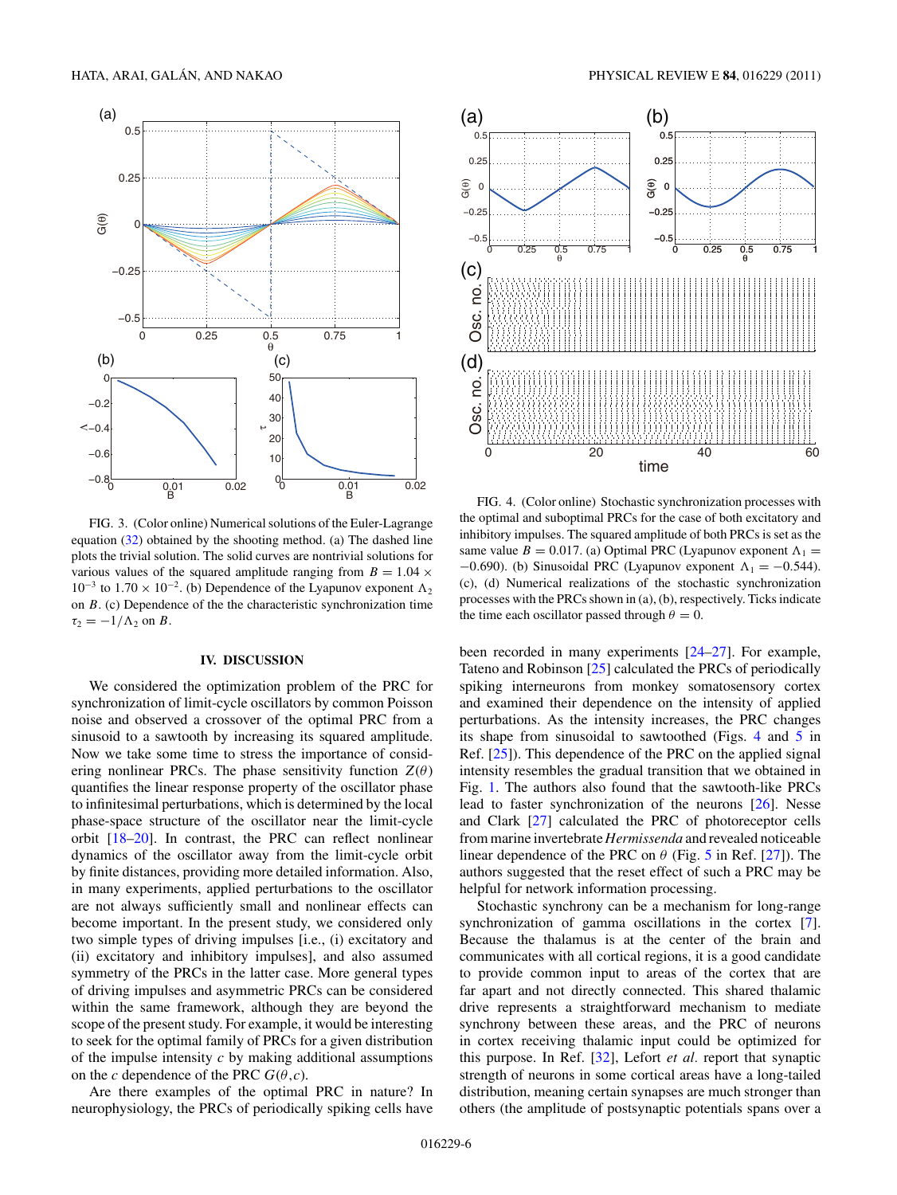<span id="page-5-0"></span>

FIG. 3. (Color online) Numerical solutions of the Euler-Lagrange equation [\(32\)](#page-4-0) obtained by the shooting method. (a) The dashed line plots the trivial solution. The solid curves are nontrivial solutions for various values of the squared amplitude ranging from  $B = 1.04 \times$ 10<sup>-3</sup> to 1.70 × 10<sup>-2</sup>. (b) Dependence of the Lyapunov exponent Λ<sub>2</sub> on *B*. (c) Dependence of the the characteristic synchronization time  $\tau_2 = -1/\Lambda_2$  on *B*.

# **IV. DISCUSSION**

We considered the optimization problem of the PRC for synchronization of limit-cycle oscillators by common Poisson noise and observed a crossover of the optimal PRC from a sinusoid to a sawtooth by increasing its squared amplitude. Now we take some time to stress the importance of considering nonlinear PRCs. The phase sensitivity function  $Z(\theta)$ quantifies the linear response property of the oscillator phase to infinitesimal perturbations, which is determined by the local phase-space structure of the oscillator near the limit-cycle orbit [\[18–20\]](#page-9-0). In contrast, the PRC can reflect nonlinear dynamics of the oscillator away from the limit-cycle orbit by finite distances, providing more detailed information. Also, in many experiments, applied perturbations to the oscillator are not always sufficiently small and nonlinear effects can become important. In the present study, we considered only two simple types of driving impulses [i.e., (i) excitatory and (ii) excitatory and inhibitory impulses], and also assumed symmetry of the PRCs in the latter case. More general types of driving impulses and asymmetric PRCs can be considered within the same framework, although they are beyond the scope of the present study. For example, it would be interesting to seek for the optimal family of PRCs for a given distribution of the impulse intensity *c* by making additional assumptions on the *c* dependence of the PRC  $G(\theta, c)$ .

Are there examples of the optimal PRC in nature? In neurophysiology, the PRCs of periodically spiking cells have



FIG. 4. (Color online) Stochastic synchronization processes with the optimal and suboptimal PRCs for the case of both excitatory and inhibitory impulses. The squared amplitude of both PRCs is set as the same value  $B = 0.017$ . (a) Optimal PRC (Lyapunov exponent  $\Lambda_1 =$ −0*.*690). (b) Sinusoidal PRC (Lyapunov exponent  $\Lambda$ <sub>1</sub> = −0*.544*). (c), (d) Numerical realizations of the stochastic synchronization processes with the PRCs shown in (a), (b), respectively. Ticks indicate the time each oscillator passed through  $\theta = 0$ .

been recorded in many experiments [\[24–27\]](#page-9-0). For example, Tateno and Robinson [\[25\]](#page-9-0) calculated the PRCs of periodically spiking interneurons from monkey somatosensory cortex and examined their dependence on the intensity of applied perturbations. As the intensity increases, the PRC changes its shape from sinusoidal to sawtoothed (Figs. 4 and [5](#page-7-0) in Ref. [\[25\]](#page-9-0)). This dependence of the PRC on the applied signal intensity resembles the gradual transition that we obtained in Fig. [1.](#page-3-0) The authors also found that the sawtooth-like PRCs lead to faster synchronization of the neurons [\[26\]](#page-9-0). Nesse and Clark [\[27\]](#page-9-0) calculated the PRC of photoreceptor cells from marine invertebrate *Hermissenda* and revealed noticeable linear dependence of the PRC on *θ* (Fig. [5](#page-7-0) in Ref. [\[27\]](#page-9-0)). The authors suggested that the reset effect of such a PRC may be helpful for network information processing.

Stochastic synchrony can be a mechanism for long-range synchronization of gamma oscillations in the cortex [\[7\]](#page-8-0). Because the thalamus is at the center of the brain and communicates with all cortical regions, it is a good candidate to provide common input to areas of the cortex that are far apart and not directly connected. This shared thalamic drive represents a straightforward mechanism to mediate synchrony between these areas, and the PRC of neurons in cortex receiving thalamic input could be optimized for this purpose. In Ref. [\[32\]](#page-9-0), Lefort *et al.* report that synaptic strength of neurons in some cortical areas have a long-tailed distribution, meaning certain synapses are much stronger than others (the amplitude of postsynaptic potentials spans over a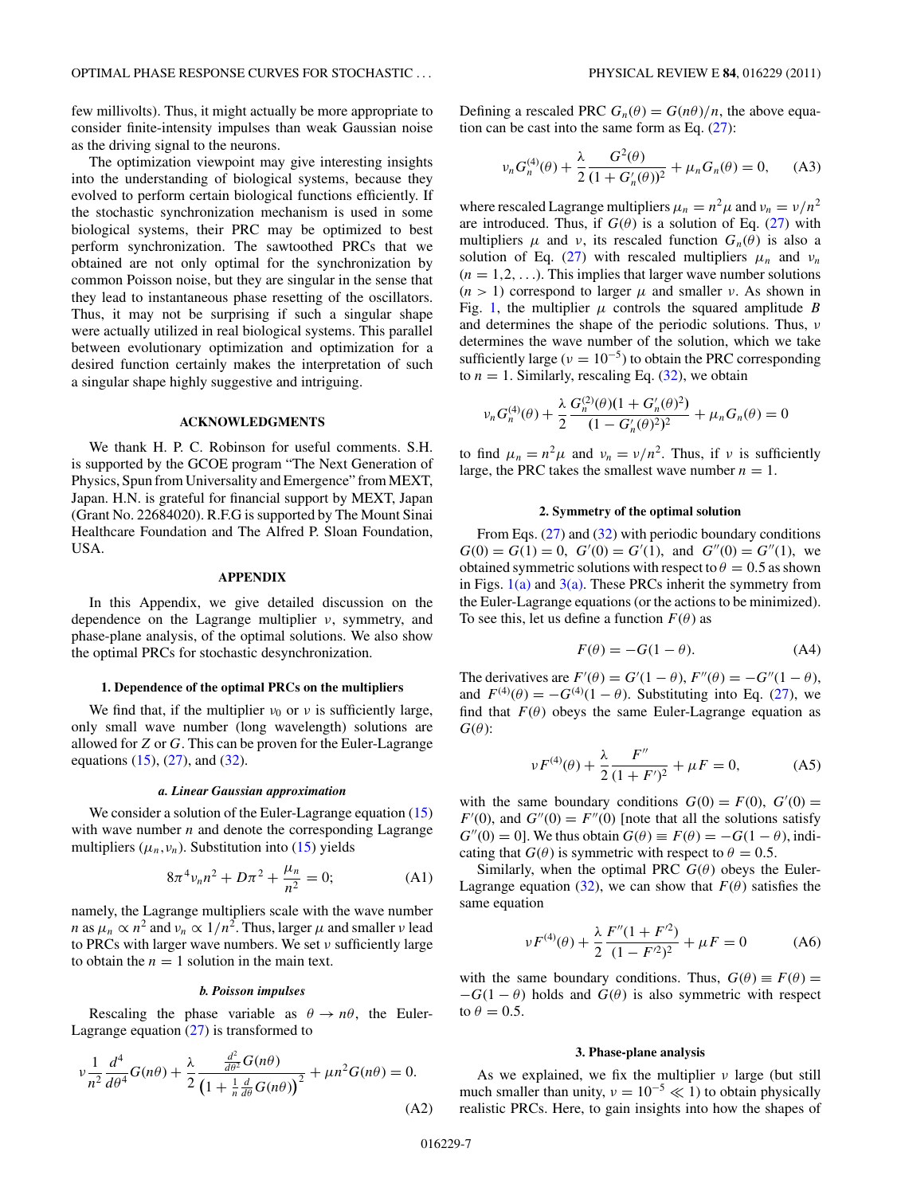few millivolts). Thus, it might actually be more appropriate to consider finite-intensity impulses than weak Gaussian noise as the driving signal to the neurons.

The optimization viewpoint may give interesting insights into the understanding of biological systems, because they evolved to perform certain biological functions efficiently. If the stochastic synchronization mechanism is used in some biological systems, their PRC may be optimized to best perform synchronization. The sawtoothed PRCs that we obtained are not only optimal for the synchronization by common Poisson noise, but they are singular in the sense that they lead to instantaneous phase resetting of the oscillators. Thus, it may not be surprising if such a singular shape were actually utilized in real biological systems. This parallel between evolutionary optimization and optimization for a desired function certainly makes the interpretation of such a singular shape highly suggestive and intriguing.

### **ACKNOWLEDGMENTS**

We thank H. P. C. Robinson for useful comments. S.H. is supported by the GCOE program "The Next Generation of Physics, Spun from Universality and Emergence" from MEXT, Japan. H.N. is grateful for financial support by MEXT, Japan (Grant No. 22684020). R.F.G is supported by The Mount Sinai Healthcare Foundation and The Alfred P. Sloan Foundation, USA.

# **APPENDIX**

In this Appendix, we give detailed discussion on the dependence on the Lagrange multiplier *ν*, symmetry, and phase-plane analysis, of the optimal solutions. We also show the optimal PRCs for stochastic desynchronization.

### **1. Dependence of the optimal PRCs on the multipliers**

We find that, if the multiplier  $v_0$  or  $v$  is sufficiently large, only small wave number (long wavelength) solutions are allowed for *Z* or *G*. This can be proven for the Euler-Lagrange equations  $(15)$ ,  $(27)$ , and  $(32)$ .

#### *a. Linear Gaussian approximation*

We consider a solution of the Euler-Lagrange equation [\(15\)](#page-2-0) with wave number *n* and denote the corresponding Lagrange multipliers  $(\mu_n, \nu_n)$ . Substitution into [\(15\)](#page-2-0) yields

$$
8\pi^4 v_n n^2 + D\pi^2 + \frac{\mu_n}{n^2} = 0;
$$
 (A1)

namely, the Lagrange multipliers scale with the wave number *n* as  $\mu_n \propto n^2$  and  $\nu_n \propto 1/n^2$ . Thus, larger  $\mu$  and smaller *ν* lead to PRCs with larger wave numbers. We set *ν* sufficiently large to obtain the  $n = 1$  solution in the main text.

### *b. Poisson impulses*

Rescaling the phase variable as  $\theta \rightarrow n\theta$ , the Euler-Lagrange equation [\(27\)](#page-3-0) is transformed to

$$
\nu \frac{1}{n^2} \frac{d^4}{d\theta^4} G(n\theta) + \frac{\lambda}{2} \frac{\frac{d^2}{d\theta^2} G(n\theta)}{\left(1 + \frac{1}{n} \frac{d}{d\theta} G(n\theta)\right)^2} + \mu n^2 G(n\theta) = 0.
$$
\n(A2)

Defining a rescaled PRC  $G_n(\theta) = G(n\theta)/n$ , the above equation can be cast into the same form as Eq.  $(27)$ :

$$
\nu_n G_n^{(4)}(\theta) + \frac{\lambda}{2} \frac{G^2(\theta)}{(1 + G'_n(\theta))^2} + \mu_n G_n(\theta) = 0, \quad (A3)
$$

where rescaled Lagrange multipliers  $\mu_n = n^2 \mu$  and  $\nu_n = \nu/n^2$ are introduced. Thus, if  $G(\theta)$  is a solution of Eq. [\(27\)](#page-3-0) with multipliers  $\mu$  and  $\nu$ , its rescaled function  $G_n(\theta)$  is also a solution of Eq. [\(27\)](#page-3-0) with rescaled multipliers  $\mu_n$  and  $\nu_n$  $(n = 1, 2, \ldots)$ . This implies that larger wave number solutions  $(n > 1)$  correspond to larger  $\mu$  and smaller *ν*. As shown in Fig. [1,](#page-3-0) the multiplier  $\mu$  controls the squared amplitude *B* and determines the shape of the periodic solutions. Thus, *ν* determines the wave number of the solution, which we take sufficiently large ( $\nu = 10^{-5}$ ) to obtain the PRC corresponding to  $n = 1$ . Similarly, rescaling Eq.  $(32)$ , we obtain

$$
\nu_n G_n^{(4)}(\theta) + \frac{\lambda}{2} \frac{G_n^{(2)}(\theta)(1 + G_n'(\theta)^2)}{(1 - G_n'(\theta)^2)^2} + \mu_n G_n(\theta) = 0
$$

to find  $\mu_n = n^2 \mu$  and  $\nu_n = \nu/n^2$ . Thus, if  $\nu$  is sufficiently large, the PRC takes the smallest wave number  $n = 1$ .

### **2. Symmetry of the optimal solution**

From Eqs. [\(27\)](#page-3-0) and [\(32\)](#page-4-0) with periodic boundary conditions  $G(0) = G(1) = 0$ ,  $G'(0) = G'(1)$ , and  $G''(0) = G''(1)$ , we obtained symmetric solutions with respect to  $\theta = 0.5$  as shown in Figs.  $1(a)$  and  $3(a)$ . These PRCs inherit the symmetry from the Euler-Lagrange equations (or the actions to be minimized). To see this, let us define a function  $F(\theta)$  as

$$
F(\theta) = -G(1 - \theta). \tag{A4}
$$

The derivatives are  $F'(\theta) = G'(1 - \theta)$ ,  $F''(\theta) = -G''(1 - \theta)$ , and  $F^{(4)}(\theta) = -G^{(4)}(1 - \theta)$ . Substituting into Eq. [\(27\)](#page-3-0), we find that  $F(\theta)$  obeys the same Euler-Lagrange equation as  $G(\theta)$ :

$$
\nu F^{(4)}(\theta) + \frac{\lambda}{2} \frac{F''}{(1 + F')^2} + \mu F = 0,
$$
 (A5)

with the same boundary conditions  $G(0) = F(0), G'(0) =$  $F'(0)$ , and  $G''(0) = F''(0)$  [note that all the solutions satisfy  $G''(0) = 0$ . We thus obtain  $G(\theta) \equiv F(\theta) = -G(1 - \theta)$ , indicating that  $G(\theta)$  is symmetric with respect to  $\theta = 0.5$ .

Similarly, when the optimal PRC  $G(\theta)$  obeys the Euler-Lagrange equation [\(32\)](#page-4-0), we can show that  $F(\theta)$  satisfies the same equation

$$
\nu F^{(4)}(\theta) + \frac{\lambda}{2} \frac{F''(1 + F'^2)}{(1 - F'^2)^2} + \mu F = 0
$$
 (A6)

with the same boundary conditions. Thus,  $G(\theta) \equiv F(\theta) =$  $-G(1 - \theta)$  holds and  $G(\theta)$  is also symmetric with respect to  $\theta = 0.5$ .

# **3. Phase-plane analysis**

As we explained, we fix the multiplier *ν* large (but still much smaller than unity,  $v = 10^{-5} \ll 1$ ) to obtain physically realistic PRCs. Here, to gain insights into how the shapes of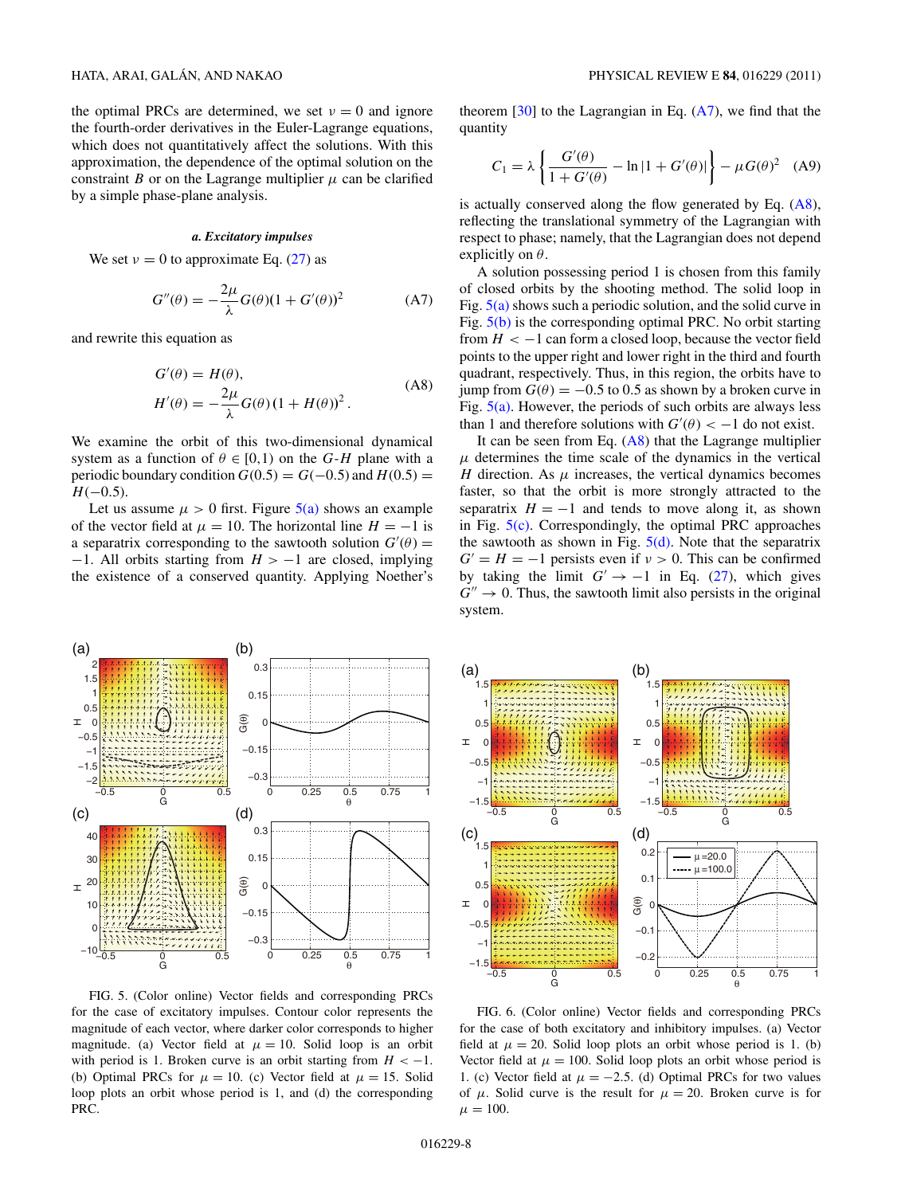<span id="page-7-0"></span>the optimal PRCs are determined, we set  $v = 0$  and ignore the fourth-order derivatives in the Euler-Lagrange equations, which does not quantitatively affect the solutions. With this approximation, the dependence of the optimal solution on the constraint *B* or on the Lagrange multiplier  $\mu$  can be clarified by a simple phase-plane analysis.

# *a. Excitatory impulses*

We set  $v = 0$  to approximate Eq. [\(27\)](#page-3-0) as

$$
G''(\theta) = -\frac{2\mu}{\lambda}G(\theta)(1 + G'(\theta))^2
$$
 (A7)

and rewrite this equation as

$$
G'(\theta) = H(\theta),
$$
  
\n
$$
H'(\theta) = -\frac{2\mu}{\lambda} G(\theta) (1 + H(\theta))^2.
$$
\n(A8)

We examine the orbit of this two-dimensional dynamical system as a function of  $\theta \in [0,1)$  on the *G*-*H* plane with a periodic boundary condition  $G(0.5) = G(-0.5)$  and  $H(0.5) =$  $H(-0.5)$ .

Let us assume  $\mu > 0$  first. Figure  $5(a)$  shows an example of the vector field at  $\mu = 10$ . The horizontal line  $H = -1$  is a separatrix corresponding to the sawtooth solution  $G'(\theta)$  = −1. All orbits starting from *H >* −1 are closed, implying the existence of a conserved quantity. Applying Noether's



FIG. 5. (Color online) Vector fields and corresponding PRCs for the case of excitatory impulses. Contour color represents the magnitude of each vector, where darker color corresponds to higher magnitude. (a) Vector field at  $\mu = 10$ . Solid loop is an orbit with period is 1. Broken curve is an orbit starting from  $H < -1$ . (b) Optimal PRCs for  $\mu = 10$ . (c) Vector field at  $\mu = 15$ . Solid loop plots an orbit whose period is 1, and (d) the corresponding PRC.

theorem  $[30]$  to the Lagrangian in Eq.  $(A7)$ , we find that the quantity

$$
C_1 = \lambda \left\{ \frac{G'(\theta)}{1 + G'(\theta)} - \ln|1 + G'(\theta)| \right\} - \mu G(\theta)^2 \quad (A9)
$$

is actually conserved along the flow generated by Eq. (A8), reflecting the translational symmetry of the Lagrangian with respect to phase; namely, that the Lagrangian does not depend explicitly on *θ*.

A solution possessing period 1 is chosen from this family of closed orbits by the shooting method. The solid loop in Fig.  $5(a)$  shows such a periodic solution, and the solid curve in Fig. 5(b) is the corresponding optimal PRC. No orbit starting from  $H < -1$  can form a closed loop, because the vector field points to the upper right and lower right in the third and fourth quadrant, respectively. Thus, in this region, the orbits have to jump from  $G(\theta) = -0.5$  to 0.5 as shown by a broken curve in Fig.  $5(a)$ . However, the periods of such orbits are always less than 1 and therefore solutions with  $G'(\theta) < -1$  do not exist.

It can be seen from Eq.  $(A8)$  that the Lagrange multiplier  $\mu$  determines the time scale of the dynamics in the vertical *H* direction. As  $\mu$  increases, the vertical dynamics becomes faster, so that the orbit is more strongly attracted to the separatrix  $H = -1$  and tends to move along it, as shown in Fig.  $5(c)$ . Correspondingly, the optimal PRC approaches the sawtooth as shown in Fig.  $5(d)$ . Note that the separatrix  $G' = H = -1$  persists even if  $v > 0$ . This can be confirmed by taking the limit  $G' \rightarrow -1$  in Eq. [\(27\)](#page-3-0), which gives  $G'' \rightarrow 0$ . Thus, the sawtooth limit also persists in the original system.



FIG. 6. (Color online) Vector fields and corresponding PRCs for the case of both excitatory and inhibitory impulses. (a) Vector field at  $\mu = 20$ . Solid loop plots an orbit whose period is 1. (b) Vector field at  $\mu = 100$ . Solid loop plots an orbit whose period is 1. (c) Vector field at  $\mu = -2.5$ . (d) Optimal PRCs for two values of  $\mu$ . Solid curve is the result for  $\mu = 20$ . Broken curve is for  $\mu = 100.$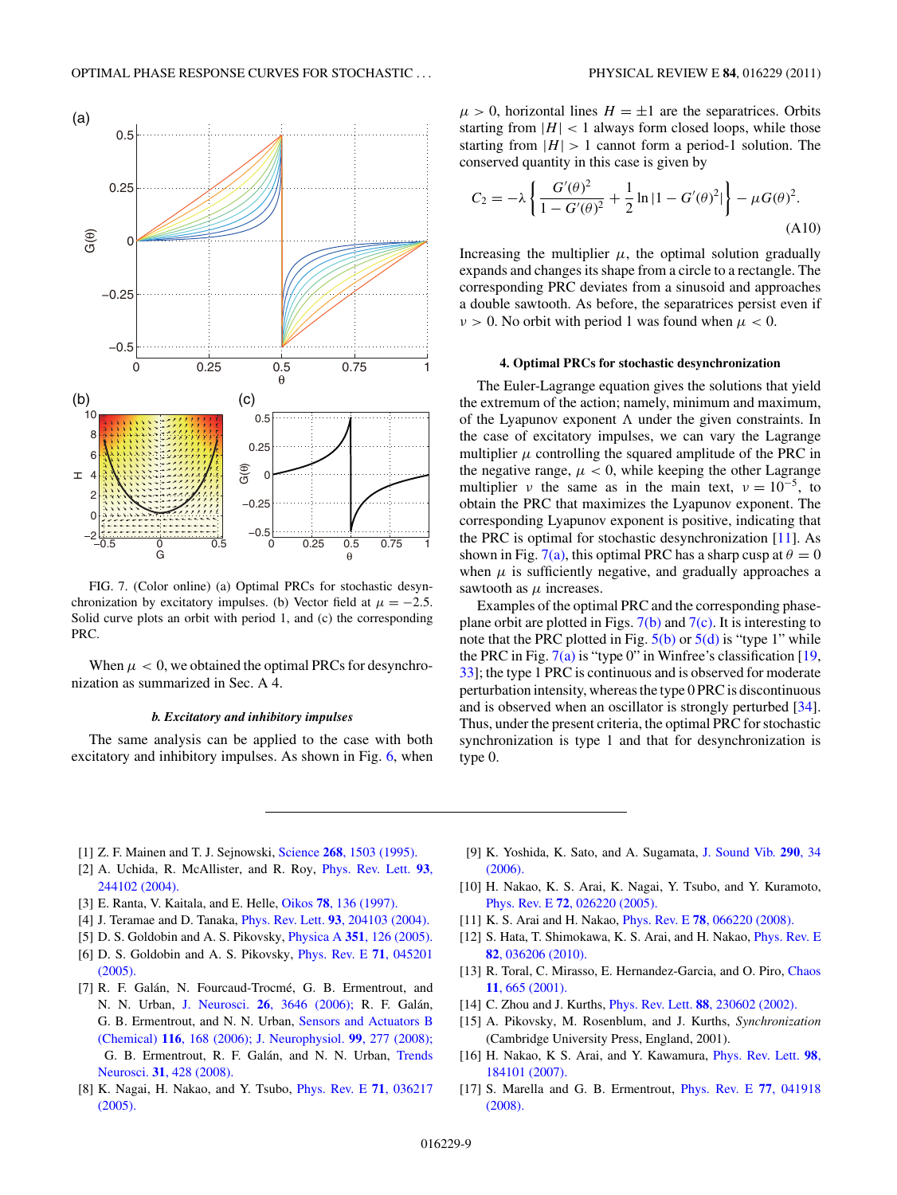<span id="page-8-0"></span>

FIG. 7. (Color online) (a) Optimal PRCs for stochastic desynchronization by excitatory impulses. (b) Vector field at  $\mu = -2.5$ . Solid curve plots an orbit with period 1, and (c) the corresponding PRC.

When  $\mu < 0$ , we obtained the optimal PRCs for desynchronization as summarized in Sec. A 4.

### *b. Excitatory and inhibitory impulses*

The same analysis can be applied to the case with both excitatory and inhibitory impulses. As shown in Fig. [6,](#page-7-0) when  $\mu > 0$ , horizontal lines  $H = \pm 1$  are the separatrices. Orbits starting from  $|H|$  < 1 always form closed loops, while those starting from  $|H| > 1$  cannot form a period-1 solution. The conserved quantity in this case is given by

$$
C_2 = -\lambda \left\{ \frac{G'(\theta)^2}{1 - G'(\theta)^2} + \frac{1}{2} \ln|1 - G'(\theta)^2| \right\} - \mu G(\theta)^2.
$$
\n(A10)

Increasing the multiplier  $\mu$ , the optimal solution gradually expands and changes its shape from a circle to a rectangle. The corresponding PRC deviates from a sinusoid and approaches a double sawtooth. As before, the separatrices persist even if  $\nu > 0$ . No orbit with period 1 was found when  $\mu < 0$ .

#### **4. Optimal PRCs for stochastic desynchronization**

The Euler-Lagrange equation gives the solutions that yield the extremum of the action; namely, minimum and maximum, of the Lyapunov exponent  $\Lambda$  under the given constraints. In the case of excitatory impulses, we can vary the Lagrange multiplier  $\mu$  controlling the squared amplitude of the PRC in the negative range,  $\mu$  < 0, while keeping the other Lagrange multiplier *ν* the same as in the main text,  $v = 10^{-5}$ , to obtain the PRC that maximizes the Lyapunov exponent. The corresponding Lyapunov exponent is positive, indicating that the PRC is optimal for stochastic desynchronization  $[11]$ . As shown in Fig. 7(a), this optimal PRC has a sharp cusp at  $\theta = 0$ when  $\mu$  is sufficiently negative, and gradually approaches a sawtooth as  $\mu$  increases.

Examples of the optimal PRC and the corresponding phaseplane orbit are plotted in Figs.  $7(b)$  and  $7(c)$ . It is interesting to note that the PRC plotted in Fig.  $5(b)$  or  $5(d)$  is "type 1" while the PRC in Fig.  $7(a)$  is "type 0" in Winfree's classification [\[19,](#page-9-0) [33\]](#page-9-0); the type 1 PRC is continuous and is observed for moderate perturbation intensity, whereas the type 0 PRC is discontinuous and is observed when an oscillator is strongly perturbed [\[34\]](#page-9-0). Thus, under the present criteria, the optimal PRC for stochastic synchronization is type 1 and that for desynchronization is type 0.

- [1] Z. F. Mainen and T. J. Sejnowski, Science **268**[, 1503 \(1995\).](http://dx.doi.org/10.1126/science.7770778)
- [2] A. Uchida, R. McAllister, and R. Roy, [Phys. Rev. Lett.](http://dx.doi.org/10.1103/PhysRevLett.93.244102) **93**, [244102 \(2004\).](http://dx.doi.org/10.1103/PhysRevLett.93.244102)
- [3] E. Ranta, V. Kaitala, and E. Helle, Oikos **78**[, 136 \(1997\).](http://dx.doi.org/10.2307/3545809)
- [4] J. Teramae and D. Tanaka, Phys. Rev. Lett. **93**[, 204103 \(2004\).](http://dx.doi.org/10.1103/PhysRevLett.93.204103)
- [5] D. S. Goldobin and A. S. Pikovsky, Physica A **351**[, 126 \(2005\).](http://dx.doi.org/10.1016/j.physa.2004.12.014)
- [6] D. S. Goldobin and A. S. Pikovsky, [Phys. Rev. E](http://dx.doi.org/10.1103/PhysRevE.71.045201) **71**, 045201 [\(2005\).](http://dx.doi.org/10.1103/PhysRevE.71.045201)
- [7] R. F. Galán, N. Fourcaud-Trocmé, G. B. Ermentrout, and N. N. Urban, J. Neurosci. **26**[, 3646 \(2006\);](http://dx.doi.org/10.1523/JNEUROSCI.4605-05.2006) R. F. Galán, G. B. Ermentrout, and N. N. Urban, [Sensors and Actuators B](http://dx.doi.org/10.1016/j.snb.2005.11.075) (Chemical) **116**[, 168 \(2006\);](http://dx.doi.org/10.1016/j.snb.2005.11.075) [J. Neurophysiol.](http://dx.doi.org/10.1152/jn.00563.2007) **99**, 277 (2008); G. B. Ermentrout, R. F. Galán, and N. N. Urban, [Trends](http://dx.doi.org/10.1016/j.tins.2008.06.002) Neurosci. **31**[, 428 \(2008\).](http://dx.doi.org/10.1016/j.tins.2008.06.002)
- [8] K. Nagai, H. Nakao, and Y. Tsubo, [Phys. Rev. E](http://dx.doi.org/10.1103/PhysRevE.71.036217) **71**, 036217 [\(2005\).](http://dx.doi.org/10.1103/PhysRevE.71.036217)
- [9] K. Yoshida, K. Sato, and A. Sugamata, [J. Sound Vib.](http://dx.doi.org/10.1016/j.jsv.2005.03.010) **290**, 34 [\(2006\).](http://dx.doi.org/10.1016/j.jsv.2005.03.010)
- [10] H. Nakao, K. S. Arai, K. Nagai, Y. Tsubo, and Y. Kuramoto, Phys. Rev. E **72**[, 026220 \(2005\).](http://dx.doi.org/10.1103/PhysRevE.72.026220)
- [11] K. S. Arai and H. Nakao, Phys. Rev. E **78**[, 066220 \(2008\).](http://dx.doi.org/10.1103/PhysRevE.78.066220)
- [12] S. Hata, T. Shimokawa, K. S. Arai, and H. Nakao, [Phys. Rev. E](http://dx.doi.org/10.1103/PhysRevE.82.036206) **82**[, 036206 \(2010\).](http://dx.doi.org/10.1103/PhysRevE.82.036206)
- [13] R. Toral, C. Mirasso, E. Hernandez-Garcia, and O. Piro, [Chaos](http://dx.doi.org/10.1063/1.1386397) **11**[, 665 \(2001\).](http://dx.doi.org/10.1063/1.1386397)
- [14] C. Zhou and J. Kurths, Phys. Rev. Lett. **88**[, 230602 \(2002\).](http://dx.doi.org/10.1103/PhysRevLett.88.230602)
- [15] A. Pikovsky, M. Rosenblum, and J. Kurths, *Synchronization* (Cambridge University Press, England, 2001).
- [16] H. Nakao, K S. Arai, and Y. Kawamura, [Phys. Rev. Lett.](http://dx.doi.org/10.1103/PhysRevLett.98.184101) **98**, [184101 \(2007\).](http://dx.doi.org/10.1103/PhysRevLett.98.184101)
- [17] S. Marella and G. B. Ermentrout, [Phys. Rev. E](http://dx.doi.org/10.1103/PhysRevE.77.041918) **77**, 041918 [\(2008\).](http://dx.doi.org/10.1103/PhysRevE.77.041918)